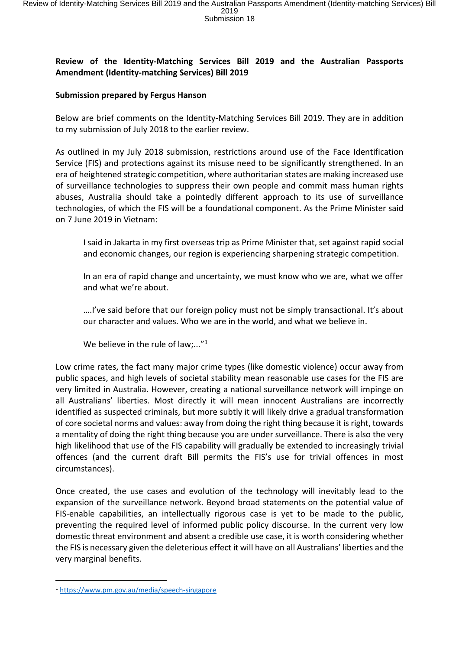## **Review of the Identity-Matching Services Bill 2019 and the Australian Passports Amendment (Identity-matching Services) Bill 2019**

## **Submission prepared by Fergus Hanson**

Below are brief comments on the Identity-Matching Services Bill 2019. They are in addition to my submission of July 2018 to the earlier review.

As outlined in my July 2018 submission, restrictions around use of the Face Identification Service (FIS) and protections against its misuse need to be significantly strengthened. In an era of heightened strategic competition, where authoritarian states are making increased use of surveillance technologies to suppress their own people and commit mass human rights abuses, Australia should take a pointedly different approach to its use of surveillance technologies, of which the FIS will be a foundational component. As the Prime Minister said on 7 June 2019 in Vietnam:

I said in Jakarta in my first overseas trip as Prime Minister that, set against rapid social and economic changes, our region is experiencing sharpening strategic competition.

In an era of rapid change and uncertainty, we must know who we are, what we offer and what we're about.

….I've said before that our foreign policy must not be simply transactional. It's about our character and values. Who we are in the world, and what we believe in.

We believe in the rule of law;..." $1$ 

Low crime rates, the fact many major crime types (like domestic violence) occur away from public spaces, and high levels of societal stability mean reasonable use cases for the FIS are very limited in Australia. However, creating a national surveillance network will impinge on all Australians' liberties. Most directly it will mean innocent Australians are incorrectly identified as suspected criminals, but more subtly it will likely drive a gradual transformation of core societal norms and values: away from doing the right thing because it is right, towards a mentality of doing the right thing because you are under surveillance. There is also the very high likelihood that use of the FIS capability will gradually be extended to increasingly trivial offences (and the current draft Bill permits the FIS's use for trivial offences in most circumstances).

Once created, the use cases and evolution of the technology will inevitably lead to the expansion of the surveillance network. Beyond broad statements on the potential value of FIS-enable capabilities, an intellectually rigorous case is yet to be made to the public, preventing the required level of informed public policy discourse. In the current very low domestic threat environment and absent a credible use case, it is worth considering whether the FIS is necessary given the deleterious effect it will have on all Australians' liberties and the very marginal benefits.

<sup>1</sup> <https://www.pm.gov.au/media/speech-singapore>